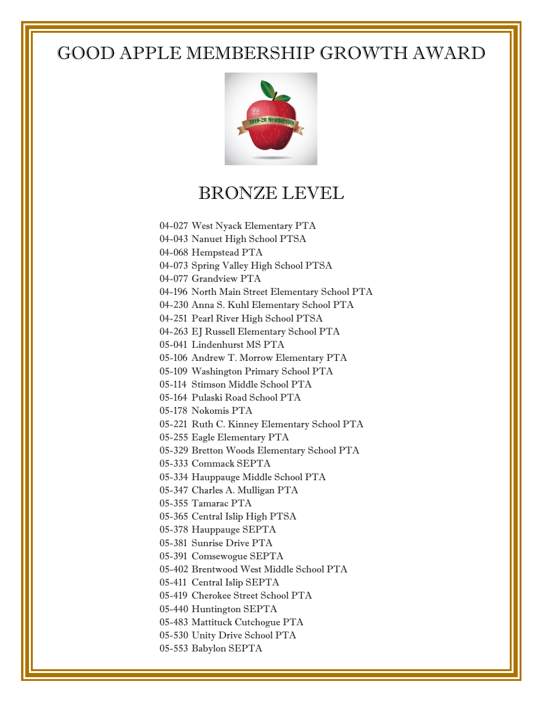

#### BRONZE LEVEL

- 04-027 West Nyack Elementary PTA
- 04-043 Nanuet High School PTSA
- 04-068 Hempstead PTA
- 04-073 Spring Valley High School PTSA
- 04-077 Grandview PTA
- 04-196 North Main Street Elementary School PTA
- 04-230 Anna S. Kuhl Elementary School PTA
- 04-251 Pearl River High School PTSA
- 04-263 EJ Russell Elementary School PTA
- 05-041 Lindenhurst MS PTA
- 05-106 Andrew T. Morrow Elementary PTA
- 05-109 Washington Primary School PTA
- 05-114 Stimson Middle School PTA
- 05-164 Pulaski Road School PTA
- 05-178 Nokomis PTA
- 05-221 Ruth C. Kinney Elementary School PTA
- 05-255 Eagle Elementary PTA
- 05-329 Bretton Woods Elementary School PTA
- 05-333 Commack SEPTA
- 05-334 Hauppauge Middle School PTA
- 05-347 Charles A. Mulligan PTA
- 05-355 Tamarac PTA
- 05-365 Central Islip High PTSA
- 05-378 Hauppauge SEPTA
- 05-381 Sunrise Drive PTA
- 05-391 Comsewogue SEPTA
- 05-402 Brentwood West Middle School PTA
- 05-411 Central Islip SEPTA
- 05-419 Cherokee Street School PTA
- 05-440 Huntington SEPTA
- 05-483 Mattituck Cutchogue PTA
- 05-530 Unity Drive School PTA
- 05-553 Babylon SEPTA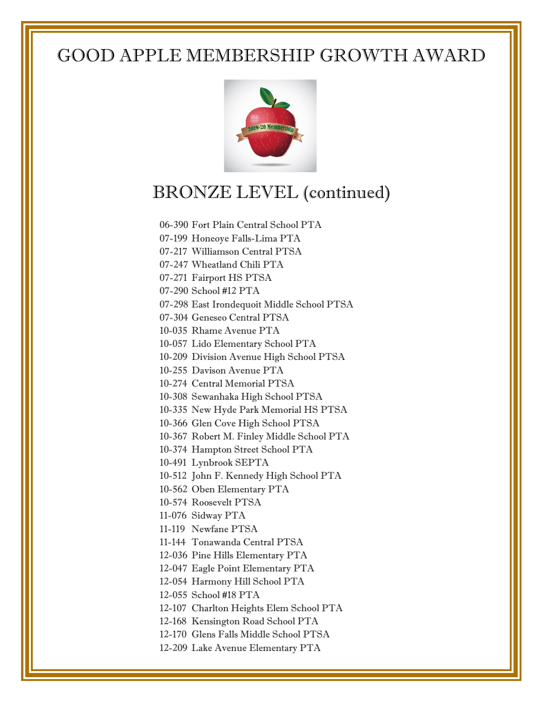

### BRONZE LEVEL (continued)

06-390 Fort Plain Central School PTA

07-199 Honeoye Falls-Lima PTA

07-217 Williamson Central PTSA

07-247 Wheatland Chili PTA

07-271 Fairport HS PTSA

07-290 School #12 PTA

07-298 East Irondequoit Middle School PTSA

07-304 Geneseo Central PTSA

10-035 Rhame Avenue PTA

10-057 Lido Elementary School PTA

10-209 Division Avenue High School PTSA

10-255 Davison Avenue PTA

10-274 Central Memorial PTSA

10-308 Sewanhaka High School PTSA

10-335 New Hyde Park Memorial HS PTSA

10-366 Glen Cove High School PTSA

10-367 Robert M. Finley Middle School PTA

10-374 Hampton Street School PTA

10-491 Lynbrook SEPTA

10-512 John F. Kennedy High School PTA

10-562 Oben Elementary PTA

10-574 Roosevelt PTSA

11-076 Sidway PTA

11-119 Newfane PTSA

11-144 Tonawanda Central PTSA

12-036 Pine Hills Elementary PTA

12-047 Eagle Point Elementary PTA

12-054 Harmony Hill School PTA

12-055 School #18 PTA

12-107 Charlton Heights Elem School PTA

12-168 Kensington Road School PTA

12-170 Glens Falls Middle School PTSA

12-209 Lake Avenue Elementary PTA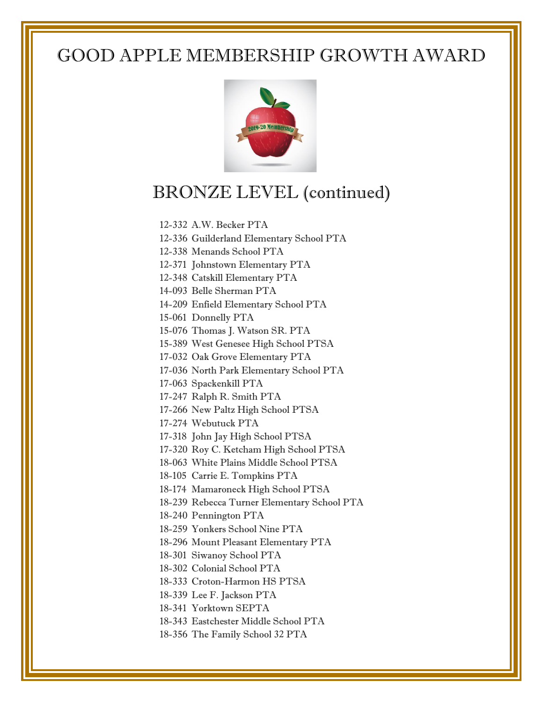

## BRONZE LEVEL (continued)

12-332 A.W. Becker PTA

12-336 Guilderland Elementary School PTA

12-338 Menands School PTA

12-371 Johnstown Elementary PTA

- 12-348 Catskill Elementary PTA
- 14-093 Belle Sherman PTA
- 14-209 Enfield Elementary School PTA

15-061 Donnelly PTA

- 15-076 Thomas J. Watson SR. PTA
- 15-389 West Genesee High School PTSA

17-032 Oak Grove Elementary PTA

17-036 North Park Elementary School PTA

17-063 Spackenkill PTA

17-247 Ralph R. Smith PTA

17-266 New Paltz High School PTSA

17-274 Webutuck PTA

17-318 John Jay High School PTSA

17-320 Roy C. Ketcham High School PTSA

- 18-063 White Plains Middle School PTSA
- 18-105 Carrie E. Tompkins PTA
- 18-174 Mamaroneck High School PTSA
- 18-239 Rebecca Turner Elementary School PTA
- 18-240 Pennington PTA
- 18-259 Yonkers School Nine PTA
- 18-296 Mount Pleasant Elementary PTA
- 18-301 Siwanoy School PTA
- 18-302 Colonial School PTA
- 18-333 Croton-Harmon HS PTSA
- 18-339 Lee F. Jackson PTA
- 18-341 Yorktown SEPTA
- 18-343 Eastchester Middle School PTA
- 18-356 The Family School 32 PTA